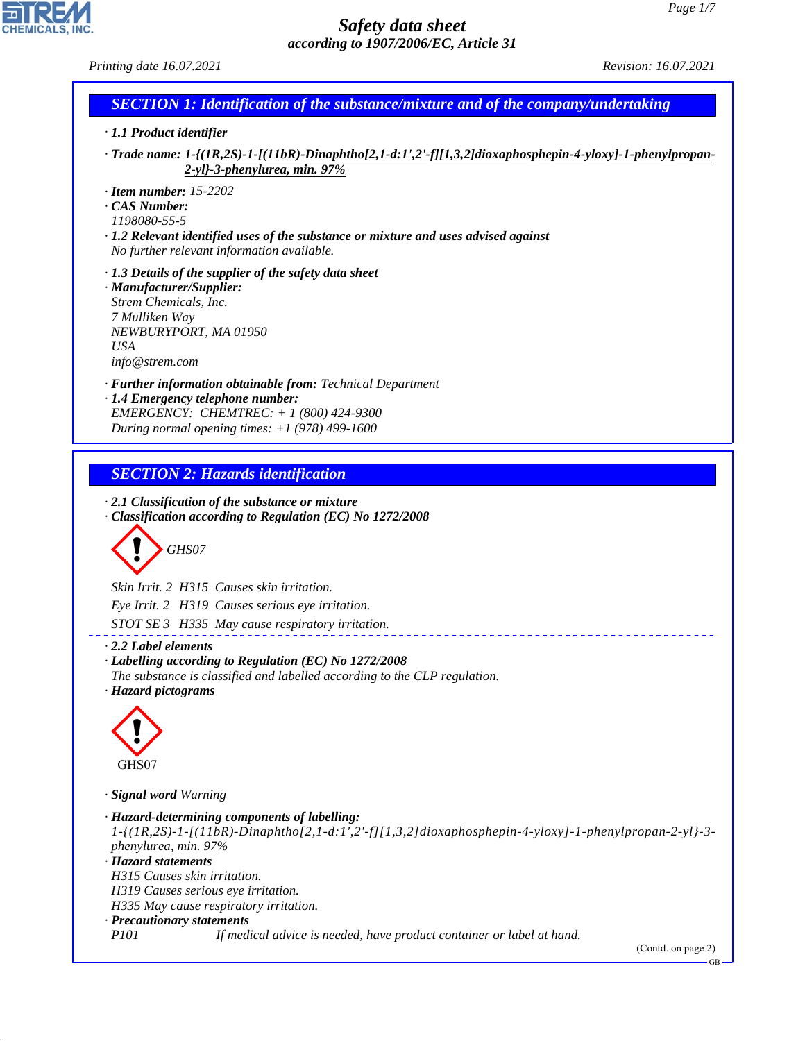| $\mu$ and $\mu$ is the set of $\mu$ is the set of $\mu$<br>Printing date 16.07.2021                                                                                                                                                                                                                                                                 | Revision: 16.07.2021             |
|-----------------------------------------------------------------------------------------------------------------------------------------------------------------------------------------------------------------------------------------------------------------------------------------------------------------------------------------------------|----------------------------------|
| <b>SECTION 1: Identification of the substance/mixture and of the company/undertaking</b>                                                                                                                                                                                                                                                            |                                  |
| $\cdot$ 1.1 Product identifier                                                                                                                                                                                                                                                                                                                      |                                  |
| - Trade name: 1-{(1R,2S)-1-[(11bR)-Dinaphtho[2,1-d:1',2'-f][1,3,2]dioxaphosphepin-4-yloxy]-1-phenylpropan-<br>$2-yl-3$ -phenylurea, min. 97%                                                                                                                                                                                                        |                                  |
| $\cdot$ Item number: 15-2202<br>CAS Number:<br>1198080-55-5<br>· 1.2 Relevant identified uses of the substance or mixture and uses advised against<br>No further relevant information available.                                                                                                                                                    |                                  |
| $\cdot$ 1.3 Details of the supplier of the safety data sheet<br>· Manufacturer/Supplier:<br>Strem Chemicals, Inc.<br>7 Mulliken Way<br>NEWBURYPORT, MA 01950<br><b>USA</b><br>info@strem.com                                                                                                                                                        |                                  |
| · Further information obtainable from: Technical Department<br>· 1.4 Emergency telephone number:<br>EMERGENCY: CHEMTREC: + 1 (800) 424-9300<br>During normal opening times: $+1$ (978) 499-1600                                                                                                                                                     |                                  |
| <b>SECTION 2: Hazards identification</b><br>$\cdot$ 2.1 Classification of the substance or mixture<br>Classification according to Regulation (EC) No 1272/2008                                                                                                                                                                                      |                                  |
| GHS07                                                                                                                                                                                                                                                                                                                                               |                                  |
| Skin Irrit. 2 H315 Causes skin irritation.<br>Eye Irrit. 2 H319 Causes serious eye irritation.<br>STOT SE 3 H335 May cause respiratory irritation.                                                                                                                                                                                                  |                                  |
| $\cdot$ 2.2 Label elements<br>· Labelling according to Regulation (EC) No 1272/2008<br>The substance is classified and labelled according to the CLP regulation.<br>· Hazard pictograms                                                                                                                                                             |                                  |
| GHS07                                                                                                                                                                                                                                                                                                                                               |                                  |
|                                                                                                                                                                                                                                                                                                                                                     |                                  |
| · Signal word Warning                                                                                                                                                                                                                                                                                                                               |                                  |
| · Hazard-determining components of labelling:<br>$1-(1R,2S)-1-(11bR)-Dinaphtho[2,1-d:1',2'-f][1,3,2]divxaphosphepin-4-yloxy]-1-phenylpropan-2-yl-3-1$<br>phenylurea, min. 97%<br>· Hazard statements<br>H315 Causes skin irritation.<br>H319 Causes serious eye irritation.<br>H335 May cause respiratory irritation.<br>· Precautionary statements |                                  |
| P <sub>101</sub><br>If medical advice is needed, have product container or label at hand.                                                                                                                                                                                                                                                           | (Contd. on page 2)<br>$\rm GB$ — |

44.1.1

**EN REMIGALS, INC.**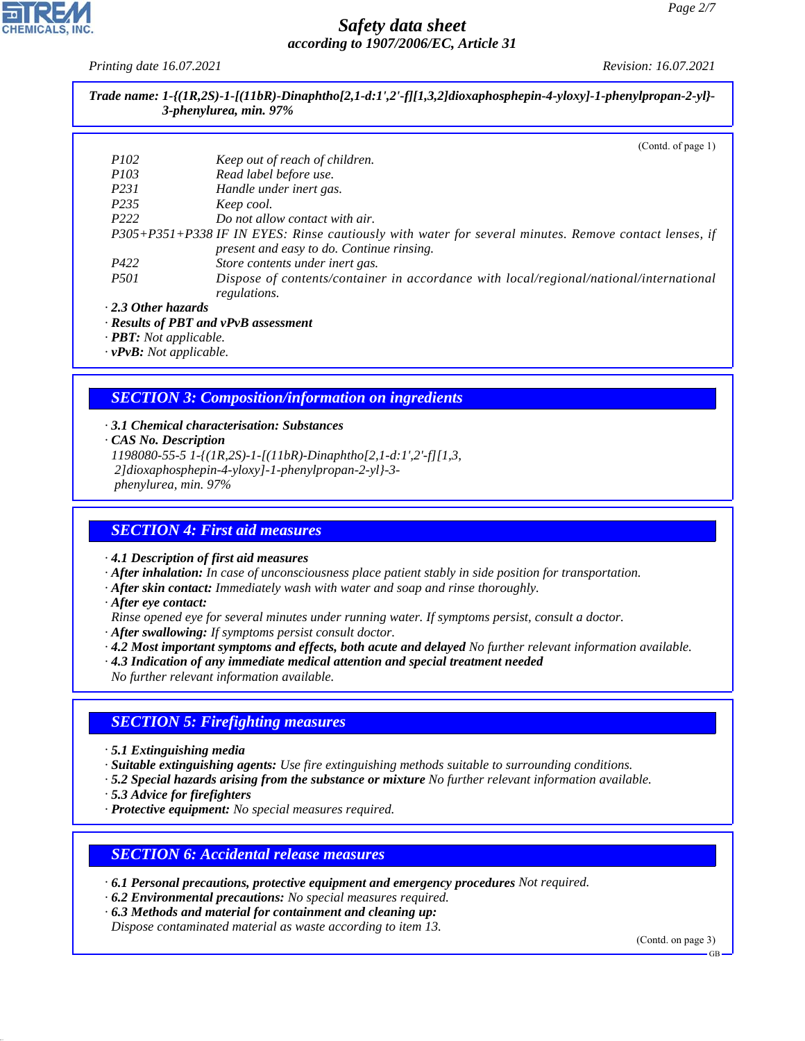*Printing date 16.07.2021 Revision: 16.07.2021*

| 3-phenylurea, min. 97% |
|------------------------|
|                        |

(Contd. of page 1)

| <i>P102</i>                     | Keep out of reach of children.                                                                                                                     |
|---------------------------------|----------------------------------------------------------------------------------------------------------------------------------------------------|
| <i>P103</i>                     | Read label before use.                                                                                                                             |
| P231                            | Handle under inert gas.                                                                                                                            |
| P <sub>235</sub>                | Keep cool.                                                                                                                                         |
| P <sub>222</sub>                | Do not allow contact with air.                                                                                                                     |
|                                 | P305+P351+P338 IF IN EYES: Rinse cautiously with water for several minutes. Remove contact lenses, if<br>present and easy to do. Continue rinsing. |
| P422                            | Store contents under inert gas.                                                                                                                    |
| <i>P501</i>                     | Dispose of contents/container in accordance with local/regional/national/international<br>regulations.                                             |
| $\cdot$ 2.3 Other hazards       |                                                                                                                                                    |
| $\mathbf{r}$ . $\mathbf{r}$ nnm | , n n                                                                                                                                              |

*· Results of PBT and vPvB assessment*

*· PBT: Not applicable.*

*· vPvB: Not applicable.*

## *SECTION 3: Composition/information on ingredients*

*· 3.1 Chemical characterisation: Substances*

*· CAS No. Description*

*1198080-55-5 1-{(1R,2S)-1-[(11bR)-Dinaphtho[2,1-d:1',2'-f][1,3, 2]dioxaphosphepin-4-yloxy]-1-phenylpropan-2-yl}-3 phenylurea, min. 97%*

#### *SECTION 4: First aid measures*

*· 4.1 Description of first aid measures*

*· After inhalation: In case of unconsciousness place patient stably in side position for transportation.*

- *· After skin contact: Immediately wash with water and soap and rinse thoroughly.*
- *· After eye contact:*
- *Rinse opened eye for several minutes under running water. If symptoms persist, consult a doctor.*
- *· After swallowing: If symptoms persist consult doctor.*
- *· 4.2 Most important symptoms and effects, both acute and delayed No further relevant information available.*
- *· 4.3 Indication of any immediate medical attention and special treatment needed*

*No further relevant information available.*

#### *SECTION 5: Firefighting measures*

*· 5.1 Extinguishing media*

*· Suitable extinguishing agents: Use fire extinguishing methods suitable to surrounding conditions.*

*· 5.2 Special hazards arising from the substance or mixture No further relevant information available.*

*· 5.3 Advice for firefighters*

44.1.1

*· Protective equipment: No special measures required.*

#### *SECTION 6: Accidental release measures*

*· 6.1 Personal precautions, protective equipment and emergency procedures Not required.*

- *· 6.2 Environmental precautions: No special measures required.*
- *· 6.3 Methods and material for containment and cleaning up:*

*Dispose contaminated material as waste according to item 13.*

(Contd. on page 3)

GB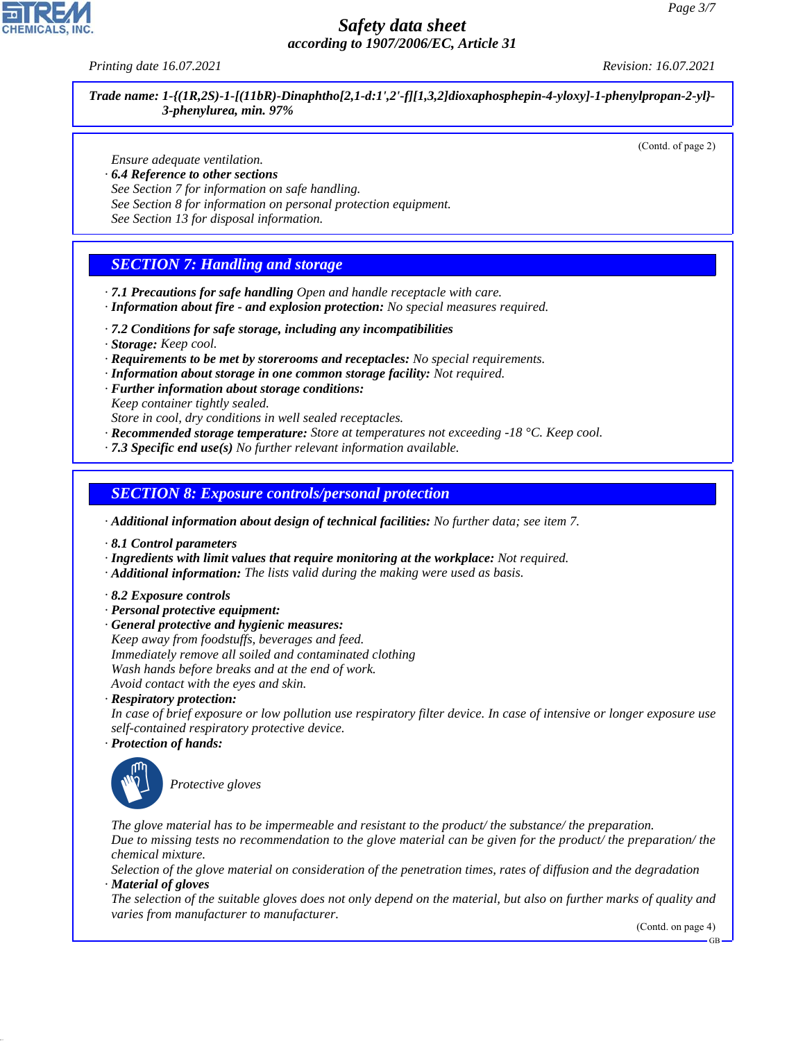*Printing date 16.07.2021 Revision: 16.07.2021*

*Trade name: 1-{(1R,2S)-1-[(11bR)-Dinaphtho[2,1-d:1',2'-f][1,3,2]dioxaphosphepin-4-yloxy]-1-phenylpropan-2-yl}- 3-phenylurea, min. 97%*

(Contd. of page 2)

*Ensure adequate ventilation.*

- *· 6.4 Reference to other sections*
- *See Section 7 for information on safe handling.*
- *See Section 8 for information on personal protection equipment.*
- *See Section 13 for disposal information.*

### *SECTION 7: Handling and storage*

- *· 7.1 Precautions for safe handling Open and handle receptacle with care.*
- *· Information about fire and explosion protection: No special measures required.*
- *· 7.2 Conditions for safe storage, including any incompatibilities*
- *· Storage: Keep cool.*
- *· Requirements to be met by storerooms and receptacles: No special requirements.*
- *· Information about storage in one common storage facility: Not required.*
- *· Further information about storage conditions:*
- *Keep container tightly sealed.*

*Store in cool, dry conditions in well sealed receptacles.*

- *· Recommended storage temperature: Store at temperatures not exceeding -18 °C. Keep cool.*
- *· 7.3 Specific end use(s) No further relevant information available.*

#### *SECTION 8: Exposure controls/personal protection*

*· Additional information about design of technical facilities: No further data; see item 7.*

- *· 8.1 Control parameters*
- *· Ingredients with limit values that require monitoring at the workplace: Not required.*
- *· Additional information: The lists valid during the making were used as basis.*
- *· 8.2 Exposure controls*
- *· Personal protective equipment:*
- *· General protective and hygienic measures:*

*Keep away from foodstuffs, beverages and feed. Immediately remove all soiled and contaminated clothing Wash hands before breaks and at the end of work. Avoid contact with the eyes and skin.*

*· Respiratory protection:*

*In case of brief exposure or low pollution use respiratory filter device. In case of intensive or longer exposure use self-contained respiratory protective device.*

*· Protection of hands:*



44.1.1

\_S*Protective gloves*

*The glove material has to be impermeable and resistant to the product/ the substance/ the preparation. Due to missing tests no recommendation to the glove material can be given for the product/ the preparation/ the chemical mixture.*

*Selection of the glove material on consideration of the penetration times, rates of diffusion and the degradation · Material of gloves*

*The selection of the suitable gloves does not only depend on the material, but also on further marks of quality and varies from manufacturer to manufacturer.*

(Contd. on page 4)

GB

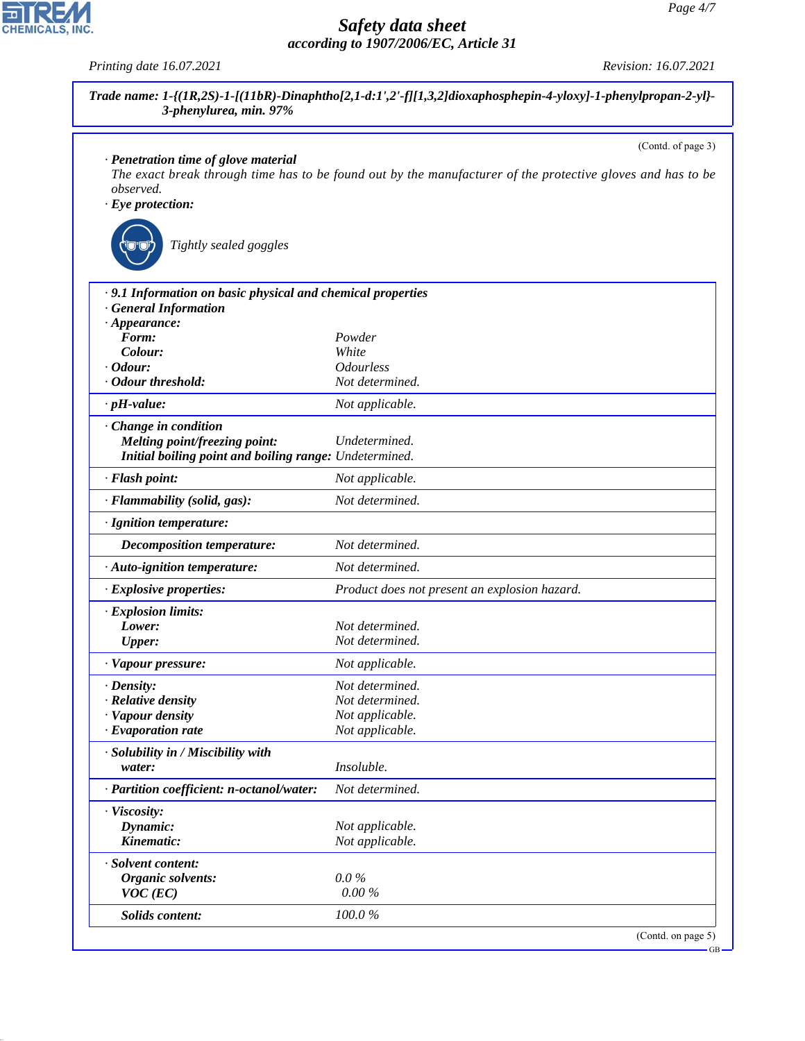| · Penetration time of glove material                                                                                     | (Contd. of page 3)                            |  |
|--------------------------------------------------------------------------------------------------------------------------|-----------------------------------------------|--|
| The exact break through time has to be found out by the manufacturer of the protective gloves and has to be<br>observed. |                                               |  |
| $\cdot$ Eye protection:                                                                                                  |                                               |  |
|                                                                                                                          |                                               |  |
| Tightly sealed goggles                                                                                                   |                                               |  |
| .9.1 Information on basic physical and chemical properties                                                               |                                               |  |
| <b>General Information</b>                                                                                               |                                               |  |
| $\cdot$ Appearance:                                                                                                      |                                               |  |
| Form:                                                                                                                    | Powder                                        |  |
| Colour:                                                                                                                  | White                                         |  |
| $\cdot$ Odour:<br>· Odour threshold:                                                                                     | <b>Odourless</b><br>Not determined.           |  |
|                                                                                                                          |                                               |  |
| $\cdot$ pH-value:                                                                                                        | Not applicable.                               |  |
| · Change in condition                                                                                                    |                                               |  |
| Melting point/freezing point:                                                                                            | Undetermined.                                 |  |
| Initial boiling point and boiling range: Undetermined.                                                                   |                                               |  |
| · Flash point:                                                                                                           | Not applicable.                               |  |
| · Flammability (solid, gas):                                                                                             | Not determined.                               |  |
| · Ignition temperature:                                                                                                  |                                               |  |
| <b>Decomposition temperature:</b>                                                                                        | Not determined.                               |  |
| · Auto-ignition temperature:                                                                                             | Not determined.                               |  |
| · Explosive properties:                                                                                                  | Product does not present an explosion hazard. |  |
| · Explosion limits:                                                                                                      |                                               |  |
| Lower:                                                                                                                   | Not determined.                               |  |
| <b>Upper:</b>                                                                                                            | Not determined.                               |  |
| · Vapour pressure:                                                                                                       | Not applicable.                               |  |
| $\cdot$ Density:                                                                                                         | Not determined.                               |  |
| · Relative density                                                                                                       | Not determined.                               |  |
| · Vapour density                                                                                                         | Not applicable.                               |  |
| $\cdot$ Evaporation rate                                                                                                 | Not applicable.                               |  |
| · Solubility in / Miscibility with                                                                                       |                                               |  |
| water:                                                                                                                   | Insoluble.                                    |  |
| · Partition coefficient: n-octanol/water:                                                                                | Not determined.                               |  |
| · Viscosity:                                                                                                             |                                               |  |
| Dynamic:                                                                                                                 | Not applicable.                               |  |
| Kinematic:                                                                                                               | Not applicable.                               |  |
| · Solvent content:                                                                                                       |                                               |  |
| Organic solvents:                                                                                                        | $0.0\%$                                       |  |
| $VOC$ (EC)                                                                                                               | $0.00\%$                                      |  |
| <b>Solids content:</b>                                                                                                   | 100.0%                                        |  |



44.1.1

*Printing date 16.07.2021 Revision: 16.07.2021*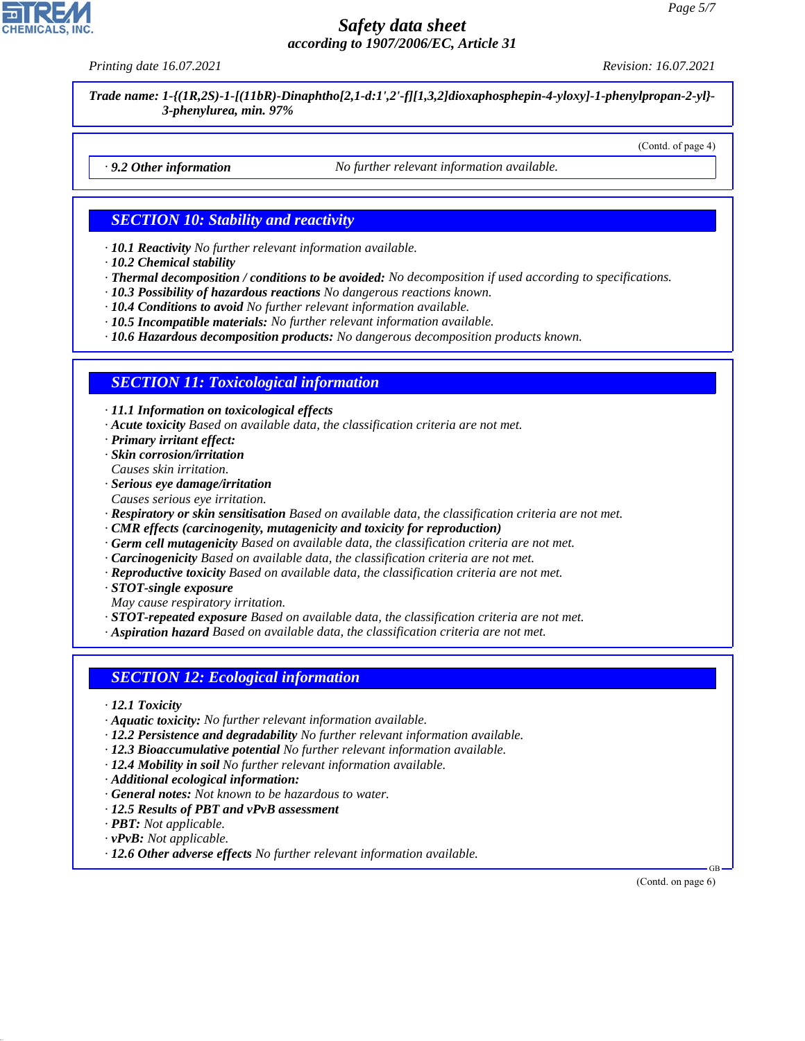*Printing date 16.07.2021 Revision: 16.07.2021*

*Trade name: 1-{(1R,2S)-1-[(11bR)-Dinaphtho[2,1-d:1',2'-f][1,3,2]dioxaphosphepin-4-yloxy]-1-phenylpropan-2-yl}- 3-phenylurea, min. 97%*

(Contd. of page 4)

*· 9.2 Other information No further relevant information available.*

#### *SECTION 10: Stability and reactivity*

*· 10.1 Reactivity No further relevant information available.*

- *· 10.2 Chemical stability*
- *· Thermal decomposition / conditions to be avoided: No decomposition if used according to specifications.*
- *· 10.3 Possibility of hazardous reactions No dangerous reactions known.*
- *· 10.4 Conditions to avoid No further relevant information available.*
- *· 10.5 Incompatible materials: No further relevant information available.*
- *· 10.6 Hazardous decomposition products: No dangerous decomposition products known.*

#### *SECTION 11: Toxicological information*

*· 11.1 Information on toxicological effects*

- *· Acute toxicity Based on available data, the classification criteria are not met.*
- *· Primary irritant effect:*
- *· Skin corrosion/irritation Causes skin irritation.*
- *· Serious eye damage/irritation*
- *Causes serious eye irritation.*
- *· Respiratory or skin sensitisation Based on available data, the classification criteria are not met.*
- *· CMR effects (carcinogenity, mutagenicity and toxicity for reproduction)*
- *· Germ cell mutagenicity Based on available data, the classification criteria are not met.*
- *· Carcinogenicity Based on available data, the classification criteria are not met.*
- *· Reproductive toxicity Based on available data, the classification criteria are not met.*
- *· STOT-single exposure*
- *May cause respiratory irritation.*

*· STOT-repeated exposure Based on available data, the classification criteria are not met.*

*· Aspiration hazard Based on available data, the classification criteria are not met.*

#### *SECTION 12: Ecological information*

- *· 12.1 Toxicity*
- *· Aquatic toxicity: No further relevant information available.*
- *· 12.2 Persistence and degradability No further relevant information available.*
- *· 12.3 Bioaccumulative potential No further relevant information available.*
- *· 12.4 Mobility in soil No further relevant information available.*
- *· Additional ecological information:*
- *· General notes: Not known to be hazardous to water.*
- *· 12.5 Results of PBT and vPvB assessment*
- *· PBT: Not applicable.*
- *· vPvB: Not applicable.*

44.1.1

*· 12.6 Other adverse effects No further relevant information available.*

(Contd. on page 6)

GB

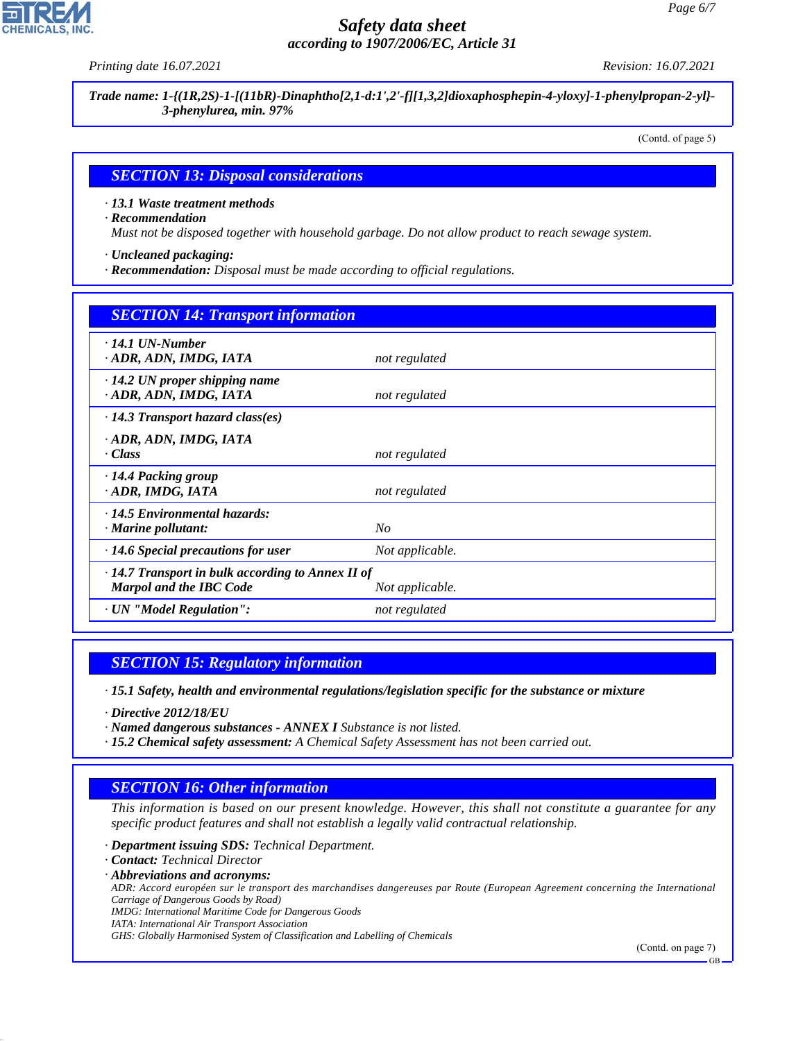*Printing date 16.07.2021 Revision: 16.07.2021*

*Trade name: 1-{(1R,2S)-1-[(11bR)-Dinaphtho[2,1-d:1',2'-f][1,3,2]dioxaphosphepin-4-yloxy]-1-phenylpropan-2-yl}- 3-phenylurea, min. 97%*

(Contd. of page 5)

#### *SECTION 13: Disposal considerations*

*· 13.1 Waste treatment methods*

*· Recommendation*

*Must not be disposed together with household garbage. Do not allow product to reach sewage system.*

*· Uncleaned packaging:*

*· Recommendation: Disposal must be made according to official regulations.*

| <b>SECTION 14: Transport information</b>                                                                     |                 |  |
|--------------------------------------------------------------------------------------------------------------|-----------------|--|
| $\cdot$ 14.1 UN-Number<br>· ADR, ADN, IMDG, IATA                                                             | not regulated   |  |
| $\cdot$ 14.2 UN proper shipping name<br>· ADR, ADN, IMDG, IATA                                               | not regulated   |  |
| $\cdot$ 14.3 Transport hazard class(es)                                                                      |                 |  |
| · ADR, ADN, IMDG, IATA<br>· Class                                                                            | not regulated   |  |
| ⋅14.4 Packing group<br>ADR, IMDG, IATA                                                                       | not regulated   |  |
| $\cdot$ 14.5 Environmental hazards:<br>· Marine pollutant:                                                   | $N_{O}$         |  |
| $\cdot$ 14.6 Special precautions for user                                                                    | Not applicable. |  |
| $\cdot$ 14.7 Transport in bulk according to Annex II of<br><b>Marpol and the IBC Code</b><br>Not applicable. |                 |  |
| · UN "Model Regulation":                                                                                     | not regulated   |  |

#### *SECTION 15: Regulatory information*

*· 15.1 Safety, health and environmental regulations/legislation specific for the substance or mixture*

*· Directive 2012/18/EU*

*· Named dangerous substances - ANNEX I Substance is not listed.*

*· 15.2 Chemical safety assessment: A Chemical Safety Assessment has not been carried out.*

#### *SECTION 16: Other information*

*This information is based on our present knowledge. However, this shall not constitute a guarantee for any specific product features and shall not establish a legally valid contractual relationship.*

*· Department issuing SDS: Technical Department.*

*· Contact: Technical Director*

44.1.1

*· Abbreviations and acronyms:*

*ADR: Accord européen sur le transport des marchandises dangereuses par Route (European Agreement concerning the International Carriage of Dangerous Goods by Road)*

*IMDG: International Maritime Code for Dangerous Goods*

*IATA: International Air Transport Association*

*GHS: Globally Harmonised System of Classification and Labelling of Chemicals*

(Contd. on page 7)

GB